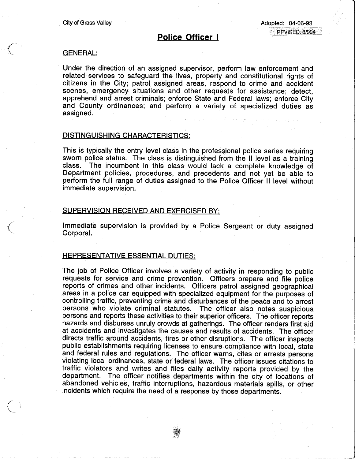# Police Officer I

#### GENERAL:

 $\begin{pmatrix} 1 \\ -1 \end{pmatrix}$ 

 $\mathcal{L}$  )

Under the direction of an assigned supervisor, perform law enforcement and related services to safeguard the lives, property and constitutional rights of citizens in the City; patrol assigned areas, respond to crime and accident scenes, emergency situations and other requests for assistance; detect, apprehend and arrest criminals; enforce State and Federal laws; enforce City and County ordinances; and perform a variety of specialized duties as assigned.

### DISTINGUISHING CHARACTERISTICS:

This is typically the entry level class in the professional police series requiring sworn police status. The class is distinguished from the II level as a training class. The incumbent in this class would lack a complete knowledge of Department policies, procedures, and precedents and not yet be able to perform the full range of duties assigned to the Police Officer II level without immediate supervision.

## SUPERVISION RECEIVED AND EXERCISED BY:

Immediate supervision is provided by a Police Sergeant or duty assigned Corporal.

## REPRESENTATIVE ESSENTIAL DUTIES:

The job of Police Officer involves a variety of activity in responding to public requests for service and crime prevention. Officers prepare and file police reports of crimes and other incidents. Officers patrol assigned geographical areas in a police car equipped with specialized equipment for the purposes of controlling traffic, preventing crime and disturbances of the peace and to arrest persons who violate criminal statutes. The officer also notes suspicious persons and reports these activities to their superior officers. The officer reports hazards and disburses unruly crowds at gatherings. The officer renders first aid at accidents and investigates the causes and results of accidents. The officer directs traffic around accidents, fires or other disruptions. The officer inspects public establishments requiring licenses to ensure compliance with local, state and federal rules and regulations. The officer warns, cites or arrests persons violating local ordinances, state or federal laws. The officer issues citations to traffic violators and writes and files daily activity reports provided by the department. The officer notifies departments within the city of locations of abandoned vehicles, traffic interruptions, hazardous materials spills, or other incidents which require the need of a response by those departments.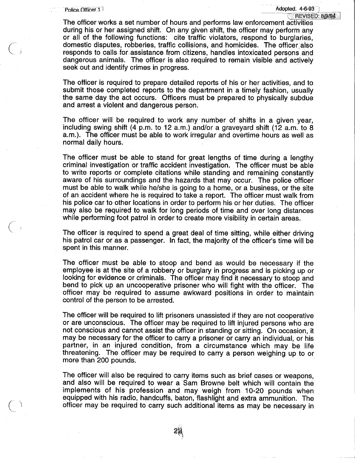$\bigg($ 

 $\bigcup$ 

 $\subset$   $\overline{\phantom{a}}$ 

---j

The officer works a set number of hours and performs law enforcement activities during his or her assigned shift. On any given shift, the officer may perform any or all of the following functions: cite traffic violators, respond to burglaries, domestic disputes, robberies, traffic collisions, and homicides. The officer also responds to calls-for-assistance-from citizens, handles intoxicated persons and dangerous animals. The officer is also required to remain visible and actively seek out and identify crimes in progress.

The officer is required to prepare detailed reports of his or her activities, and to submit those completed reports to the department in a timely fashion, usually the same day the act occurs. Officers must be prepared to physically subdue and arrest a violent and dangerous person.

The officer will be required to work any number of shifts in a given year, including swing shift (4 p.m. to 12 a.m.) and/or a graveyard shift (12 a.m. to 8 a.m.). The officer must be able to work irregular and overtime hours as well as normal daily hours.

The officer must be able to stand for great lengths of time during a lengthy criminal investigation or traffic accident investigation. The officer must be able to write reports or complete citations while standing and remaining constantly aware of his surroundings and the hazards that may occur. The police officer must be able to walk while he/she is going to a home, or a business, or the site of an accident where he is required to take a report. The officer must walk from his police car to other locations in order to perform his or her duties. The officer may also be required to walk for long periods of time and over long distances while performing foot patrol in order to create more visibility in certain areas.

The officer is required to spend a great deal of time sitting, while either driving his patrol car or as a passenger. In fact, the majority of the officer's time will be spent in this manner.

The officer must be able to stoop and bend as would be necessary if the employee is at the site of a robbery or burglary in progress and is picking up or looking for evidence or criminals. The officer may find it necessary to stoop and bend to pick up an uncooperative prisoner who will fight with the officer. The officer may be required to assume awkward positions in order to maintain control of the person to be arrested.

The officer will be required to lift prisoners unassisted if they are not cooperative or are unconscious. The officer may be required to lift injured persons who are not conscious and cannot assist the officer in standing or sitting. On occasion, it may be necessary for the officer to carry a prisoner or carry an individual, or his partner, in an injured condition, from a circumstance which may be life threatening. The officer may be required to carry a person weighing up to or more than 200 pounds.

The officer will also be required to carry items such as brief cases or weapons, and also will be required to wear a Sam Browne belt which will contain the implements of his profession and may weigh from 10-20 pounds when equipped with his radio, handcuffs, baton, flashlight and extra ammunition. The officer may be required to carry such additional items as may be necessary in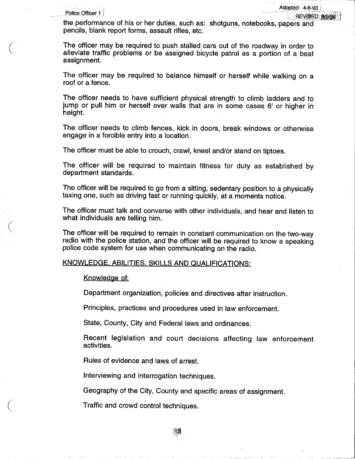$\left(\right)$ 

 $\bigg($ 

 $\left(\right)$ 

Police Officer 1<br>Police Officer 1

the performance of his or her duties, such as: shotguns, notebooks, papers and pencils, blank report forms, assault rifles, etc.

The officer may be required to push stalled cars out of the roadway in order to alleviate traffic problems or be assigned bicycle patrol as a portion of a beat assignment.

The officer may be required to balance himself or herself while walking on a roof or a fence.

The officer needs to have sufficient physical strength to climb ladders and to jump or pull him or herself over walls that are in some cases 6' or higher in height.

The officer needs to climb fences, kick in doors, break windows or otherwise engage in a forcible entry into a location.

The officer must be able to crouch, crawl, kneel and/or stand on tiptoes.

The officer will be required to maintain fitness for duty as established by department standards.

The officer will be required to go from a sitting, sedentary position to a physically . taxing one, such as driving fast or running quickly, at a moments notice.

The officer must talk and converse with other individuals, and hear and listen to what individuals are telling him.

The officer will be required to remain in constant communication on the two-way radio with the police station, and the officer will be required to know a speaking .police code system for use when communicating on the radio.

## KNOWLEDGE, ABILITIES. SKILLS AND QUALIFICATIONS:

#### Knowledge of:

Department organization, policies and directives after instruction.

Principles, practices and procedures used in law enforcement.

State, County, City and Federal laws and ordinances.

Recent legislation and court decisions affecting law enforcement activities.

Rules of evidence and laws of arrest.

Interviewing and interrogation techniques.

Geography of the City, County and specific areas of assignment.

Traffic and crowd control techniques.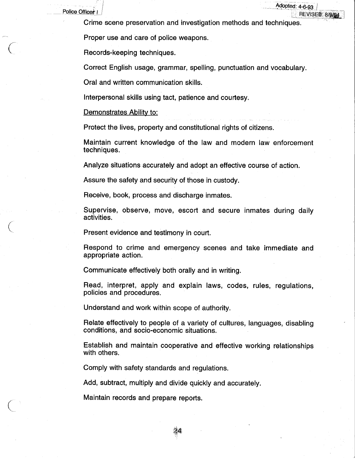Police Officer I

Crime scene preservation and investigation methods and techniques.

Adopted: 4-6-93

REVISED: 8/9/94

Proper use and care of police weapons.

Records-keeping techniques.

Correct English usage, grammar, spelling, punctuation and vocabulary.

Oral and written communication skills.

Interpersonal skills using tact, patience and courtesy.

#### Demonstrates Ability to:

Protect the lives, property and constitutional rights of citizens.

Maintain current knowledge of the law and modern law enforcement techniques.

Analyze situations accurately and adopt an effective course of action.

Assure the safety and security of those in custody.

Receive, book, process and discharge inmates.

Supervise, observe, move, escort and secure inmates during daily activities.

Present evidence and testimony in court.

Respond to crime and emergency scenes and take immediate and appropriate action.

Communicate effectively both orally and in writing.

Read, interpret, apply and explain laws, codes, rules, regulations, policies and procedures.

Understand and work within scope of authority.

Relate effectively to people of a variety of cultures, languages, disabling conditions, and socio-economic situations.

Establish and maintain cooperative and effective working relationships with others.

Comply with safety standards and regulations.

Add, subtract, multiply and divide quickly and accurately.

Maintain records and prepare reports.